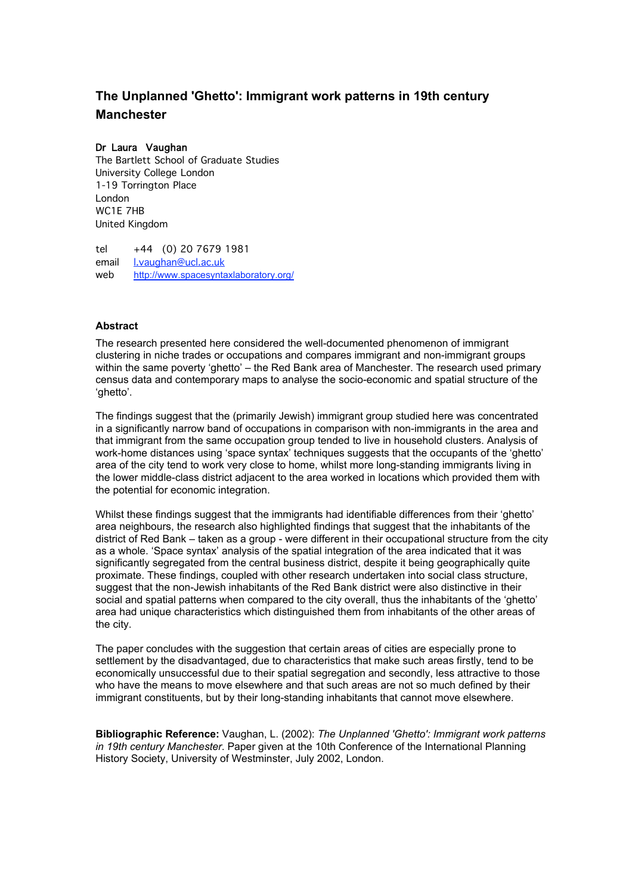# **The Unplanned 'Ghetto': Immigrant work patterns in 19th century Manchester**

# Dr Laura Vaughan

The Bartlett School of Graduate Studies University College London 1-19 Torrington Place London WC1E 7HB United Kingdom

tel +44 !(0) 20 7679 1981 email l.vaughan@ucl.ac.uk web http://www.spacesyntaxlaboratory.org/

# **Abstract**

The research presented here considered the well-documented phenomenon of immigrant clustering in niche trades or occupations and compares immigrant and non-immigrant groups within the same poverty 'ghetto' – the Red Bank area of Manchester. The research used primary census data and contemporary maps to analyse the socio-economic and spatial structure of the 'ahetto'.

The findings suggest that the (primarily Jewish) immigrant group studied here was concentrated in a significantly narrow band of occupations in comparison with non-immigrants in the area and that immigrant from the same occupation group tended to live in household clusters. Analysis of work-home distances using 'space syntax' techniques suggests that the occupants of the 'ghetto' area of the city tend to work very close to home, whilst more long-standing immigrants living in the lower middle-class district adjacent to the area worked in locations which provided them with the potential for economic integration.

Whilst these findings suggest that the immigrants had identifiable differences from their 'ghetto' area neighbours, the research also highlighted findings that suggest that the inhabitants of the district of Red Bank – taken as a group - were different in their occupational structure from the city as a whole. 'Space syntax' analysis of the spatial integration of the area indicated that it was significantly segregated from the central business district, despite it being geographically quite proximate. These findings, coupled with other research undertaken into social class structure, suggest that the non-Jewish inhabitants of the Red Bank district were also distinctive in their social and spatial patterns when compared to the city overall, thus the inhabitants of the 'ghetto' area had unique characteristics which distinguished them from inhabitants of the other areas of the city.

The paper concludes with the suggestion that certain areas of cities are especially prone to settlement by the disadvantaged, due to characteristics that make such areas firstly, tend to be economically unsuccessful due to their spatial segregation and secondly, less attractive to those who have the means to move elsewhere and that such areas are not so much defined by their immigrant constituents, but by their long-standing inhabitants that cannot move elsewhere.

**Bibliographic Reference:** Vaughan, L. (2002): *The Unplanned 'Ghetto': Immigrant work patterns in 19th century Manchester*. Paper given at the 10th Conference of the International Planning History Society, University of Westminster, July 2002, London.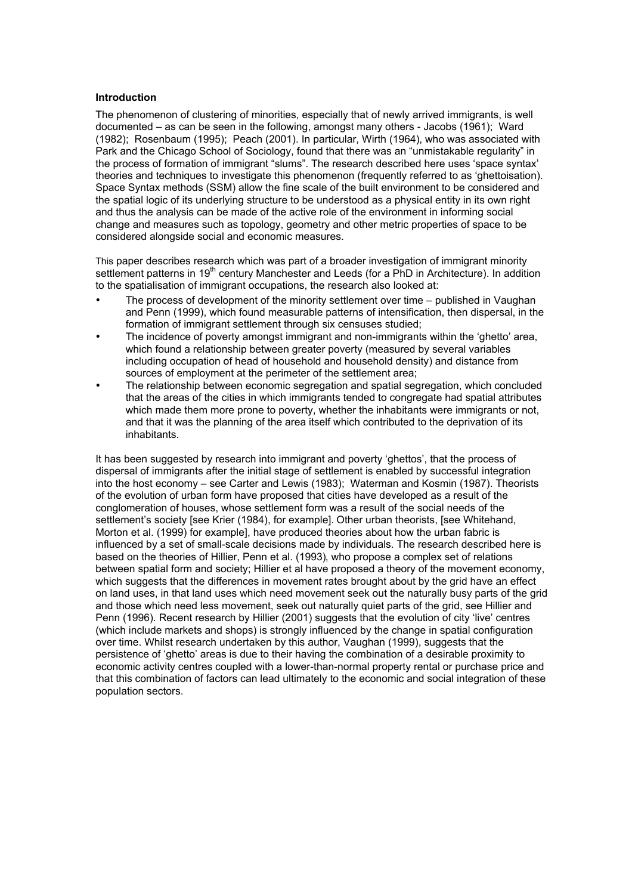## **Introduction**

The phenomenon of clustering of minorities, especially that of newly arrived immigrants, is well documented – as can be seen in the following, amongst many others - Jacobs (1961); Ward (1982); Rosenbaum (1995); Peach (2001). In particular, Wirth (1964), who was associated with Park and the Chicago School of Sociology, found that there was an "unmistakable regularity" in the process of formation of immigrant "slums". The research described here uses 'space syntax' theories and techniques to investigate this phenomenon (frequently referred to as 'ghettoisation). Space Syntax methods (SSM) allow the fine scale of the built environment to be considered and the spatial logic of its underlying structure to be understood as a physical entity in its own right and thus the analysis can be made of the active role of the environment in informing social change and measures such as topology, geometry and other metric properties of space to be considered alongside social and economic measures.

This paper describes research which was part of a broader investigation of immigrant minority settlement patterns in 19<sup>th</sup> century Manchester and Leeds (for a PhD in Architecture). In addition to the spatialisation of immigrant occupations, the research also looked at:

The process of development of the minority settlement over time – published in Vaughan and Penn (1999), which found measurable patterns of intensification, then dispersal, in the formation of immigrant settlement through six censuses studied;

The incidence of poverty amongst immigrant and non-immigrants within the 'ghetto' area, which found a relationship between greater poverty (measured by several variables including occupation of head of household and household density) and distance from sources of employment at the perimeter of the settlement area;

The relationship between economic segregation and spatial segregation, which concluded that the areas of the cities in which immigrants tended to congregate had spatial attributes which made them more prone to poverty, whether the inhabitants were immigrants or not, and that it was the planning of the area itself which contributed to the deprivation of its inhabitants.

It has been suggested by research into immigrant and poverty 'ghettos', that the process of dispersal of immigrants after the initial stage of settlement is enabled by successful integration into the host economy – see Carter and Lewis (1983); Waterman and Kosmin (1987). Theorists of the evolution of urban form have proposed that cities have developed as a result of the conglomeration of houses, whose settlement form was a result of the social needs of the settlement's society [see Krier (1984), for example]. Other urban theorists, [see Whitehand, Morton et al. (1999) for example], have produced theories about how the urban fabric is influenced by a set of small-scale decisions made by individuals. The research described here is based on the theories of Hillier, Penn et al. (1993), who propose a complex set of relations between spatial form and society; Hillier et al have proposed a theory of the movement economy, which suggests that the differences in movement rates brought about by the grid have an effect on land uses, in that land uses which need movement seek out the naturally busy parts of the grid and those which need less movement, seek out naturally quiet parts of the grid, see Hillier and Penn (1996). Recent research by Hillier (2001) suggests that the evolution of city 'live' centres (which include markets and shops) is strongly influenced by the change in spatial configuration over time. Whilst research undertaken by this author, Vaughan (1999), suggests that the persistence of 'ghetto' areas is due to their having the combination of a desirable proximity to economic activity centres coupled with a lower-than-normal property rental or purchase price and that this combination of factors can lead ultimately to the economic and social integration of these population sectors.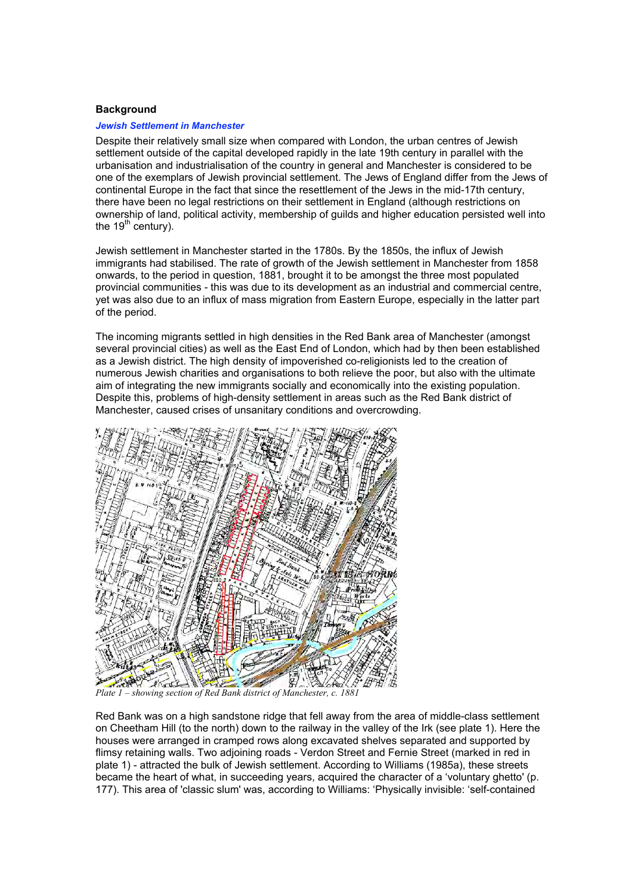# **Background**

## *Jewish Settlement in Manchester*

Despite their relatively small size when compared with London, the urban centres of Jewish settlement outside of the capital developed rapidly in the late 19th century in parallel with the urbanisation and industrialisation of the country in general and Manchester is considered to be one of the exemplars of Jewish provincial settlement. The Jews of England differ from the Jews of continental Europe in the fact that since the resettlement of the Jews in the mid-17th century, there have been no legal restrictions on their settlement in England (although restrictions on ownership of land, political activity, membership of guilds and higher education persisted well into the  $19<sup>th</sup>$  century).

Jewish settlement in Manchester started in the 1780s. By the 1850s, the influx of Jewish immigrants had stabilised. The rate of growth of the Jewish settlement in Manchester from 1858 onwards, to the period in question, 1881, brought it to be amongst the three most populated provincial communities - this was due to its development as an industrial and commercial centre, yet was also due to an influx of mass migration from Eastern Europe, especially in the latter part of the period.

The incoming migrants settled in high densities in the Red Bank area of Manchester (amongst several provincial cities) as well as the East End of London, which had by then been established as a Jewish district. The high density of impoverished co-religionists led to the creation of numerous Jewish charities and organisations to both relieve the poor, but also with the ultimate aim of integrating the new immigrants socially and economically into the existing population. Despite this, problems of high-density settlement in areas such as the Red Bank district of Manchester, caused crises of unsanitary conditions and overcrowding.



*Plate 1 – showing section of Red Bank district of Manchester, c. 1881*

Red Bank was on a high sandstone ridge that fell away from the area of middle-class settlement on Cheetham Hill (to the north) down to the railway in the valley of the Irk (see plate 1). Here the houses were arranged in cramped rows along excavated shelves separated and supported by flimsy retaining walls. Two adjoining roads - Verdon Street and Fernie Street (marked in red in plate 1) - attracted the bulk of Jewish settlement. According to Williams (1985a), these streets became the heart of what, in succeeding years, acquired the character of a 'voluntary ghetto' (p. 177). This area of 'classic slum' was, according to Williams: 'Physically invisible: 'self-contained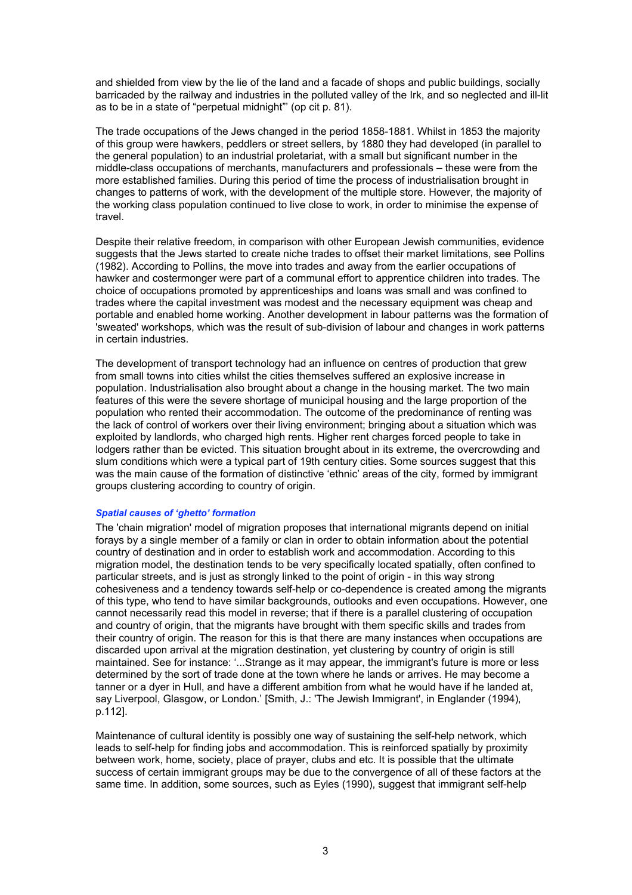and shielded from view by the lie of the land and a facade of shops and public buildings, socially barricaded by the railway and industries in the polluted valley of the Irk, and so neglected and ill-lit as to be in a state of "perpetual midnight"' (op cit p. 81).

The trade occupations of the Jews changed in the period 1858-1881. Whilst in 1853 the majority of this group were hawkers, peddlers or street sellers, by 1880 they had developed (in parallel to the general population) to an industrial proletariat, with a small but significant number in the middle-class occupations of merchants, manufacturers and professionals – these were from the more established families. During this period of time the process of industrialisation brought in changes to patterns of work, with the development of the multiple store. However, the majority of the working class population continued to live close to work, in order to minimise the expense of travel.

Despite their relative freedom, in comparison with other European Jewish communities, evidence suggests that the Jews started to create niche trades to offset their market limitations, see Pollins (1982). According to Pollins, the move into trades and away from the earlier occupations of hawker and costermonger were part of a communal effort to apprentice children into trades. The choice of occupations promoted by apprenticeships and loans was small and was confined to trades where the capital investment was modest and the necessary equipment was cheap and portable and enabled home working. Another development in labour patterns was the formation of 'sweated' workshops, which was the result of sub-division of labour and changes in work patterns in certain industries.

The development of transport technology had an influence on centres of production that grew from small towns into cities whilst the cities themselves suffered an explosive increase in population. Industrialisation also brought about a change in the housing market. The two main features of this were the severe shortage of municipal housing and the large proportion of the population who rented their accommodation. The outcome of the predominance of renting was the lack of control of workers over their living environment; bringing about a situation which was exploited by landlords, who charged high rents. Higher rent charges forced people to take in lodgers rather than be evicted. This situation brought about in its extreme, the overcrowding and slum conditions which were a typical part of 19th century cities. Some sources suggest that this was the main cause of the formation of distinctive 'ethnic' areas of the city, formed by immigrant groups clustering according to country of origin.

# *Spatial causes of 'ghetto' formation*

The 'chain migration' model of migration proposes that international migrants depend on initial forays by a single member of a family or clan in order to obtain information about the potential country of destination and in order to establish work and accommodation. According to this migration model, the destination tends to be very specifically located spatially, often confined to particular streets, and is just as strongly linked to the point of origin - in this way strong cohesiveness and a tendency towards self-help or co-dependence is created among the migrants of this type, who tend to have similar backgrounds, outlooks and even occupations. However, one cannot necessarily read this model in reverse; that if there is a parallel clustering of occupation and country of origin, that the migrants have brought with them specific skills and trades from their country of origin. The reason for this is that there are many instances when occupations are discarded upon arrival at the migration destination, yet clustering by country of origin is still maintained. See for instance: '...Strange as it may appear, the immigrant's future is more or less determined by the sort of trade done at the town where he lands or arrives. He may become a tanner or a dyer in Hull, and have a different ambition from what he would have if he landed at, say Liverpool, Glasgow, or London.' [Smith, J.: 'The Jewish Immigrant', in Englander (1994), p.112].

Maintenance of cultural identity is possibly one way of sustaining the self-help network, which leads to self-help for finding jobs and accommodation. This is reinforced spatially by proximity between work, home, society, place of prayer, clubs and etc. It is possible that the ultimate success of certain immigrant groups may be due to the convergence of all of these factors at the same time. In addition, some sources, such as Eyles (1990), suggest that immigrant self-help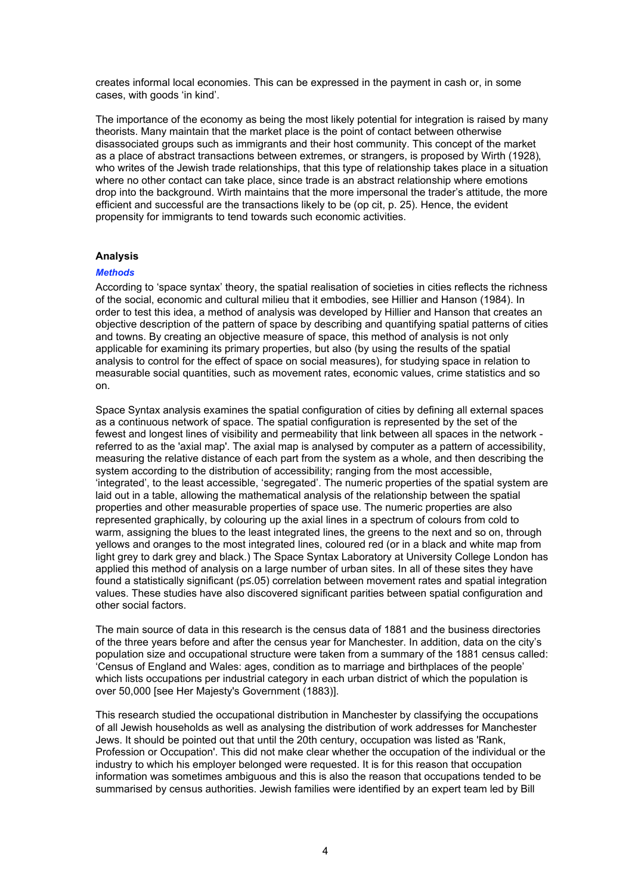creates informal local economies. This can be expressed in the payment in cash or, in some cases, with goods 'in kind'.

The importance of the economy as being the most likely potential for integration is raised by many theorists. Many maintain that the market place is the point of contact between otherwise disassociated groups such as immigrants and their host community. This concept of the market as a place of abstract transactions between extremes, or strangers, is proposed by Wirth (1928), who writes of the Jewish trade relationships, that this type of relationship takes place in a situation where no other contact can take place, since trade is an abstract relationship where emotions drop into the background. Wirth maintains that the more impersonal the trader's attitude, the more efficient and successful are the transactions likely to be (op cit, p. 25). Hence, the evident propensity for immigrants to tend towards such economic activities.

# **Analysis**

# *Methods*

According to 'space syntax' theory, the spatial realisation of societies in cities reflects the richness of the social, economic and cultural milieu that it embodies, see Hillier and Hanson (1984). In order to test this idea, a method of analysis was developed by Hillier and Hanson that creates an objective description of the pattern of space by describing and quantifying spatial patterns of cities and towns. By creating an objective measure of space, this method of analysis is not only applicable for examining its primary properties, but also (by using the results of the spatial analysis to control for the effect of space on social measures), for studying space in relation to measurable social quantities, such as movement rates, economic values, crime statistics and so on.

Space Syntax analysis examines the spatial configuration of cities by defining all external spaces as a continuous network of space. The spatial configuration is represented by the set of the fewest and longest lines of visibility and permeability that link between all spaces in the network referred to as the 'axial map'. The axial map is analysed by computer as a pattern of accessibility, measuring the relative distance of each part from the system as a whole, and then describing the system according to the distribution of accessibility; ranging from the most accessible, 'integrated', to the least accessible, 'segregated'. The numeric properties of the spatial system are laid out in a table, allowing the mathematical analysis of the relationship between the spatial properties and other measurable properties of space use. The numeric properties are also represented graphically, by colouring up the axial lines in a spectrum of colours from cold to warm, assigning the blues to the least integrated lines, the greens to the next and so on, through yellows and oranges to the most integrated lines, coloured red (or in a black and white map from light grey to dark grey and black.) The Space Syntax Laboratory at University College London has applied this method of analysis on a large number of urban sites. In all of these sites they have found a statistically significant (p≤.05) correlation between movement rates and spatial integration values. These studies have also discovered significant parities between spatial configuration and other social factors.

The main source of data in this research is the census data of 1881 and the business directories of the three years before and after the census year for Manchester. In addition, data on the city's population size and occupational structure were taken from a summary of the 1881 census called: 'Census of England and Wales: ages, condition as to marriage and birthplaces of the people' which lists occupations per industrial category in each urban district of which the population is over 50,000 [see Her Majesty's Government (1883)].

This research studied the occupational distribution in Manchester by classifying the occupations of all Jewish households as well as analysing the distribution of work addresses for Manchester Jews. It should be pointed out that until the 20th century, occupation was listed as 'Rank, Profession or Occupation'. This did not make clear whether the occupation of the individual or the industry to which his employer belonged were requested. It is for this reason that occupation information was sometimes ambiguous and this is also the reason that occupations tended to be summarised by census authorities. Jewish families were identified by an expert team led by Bill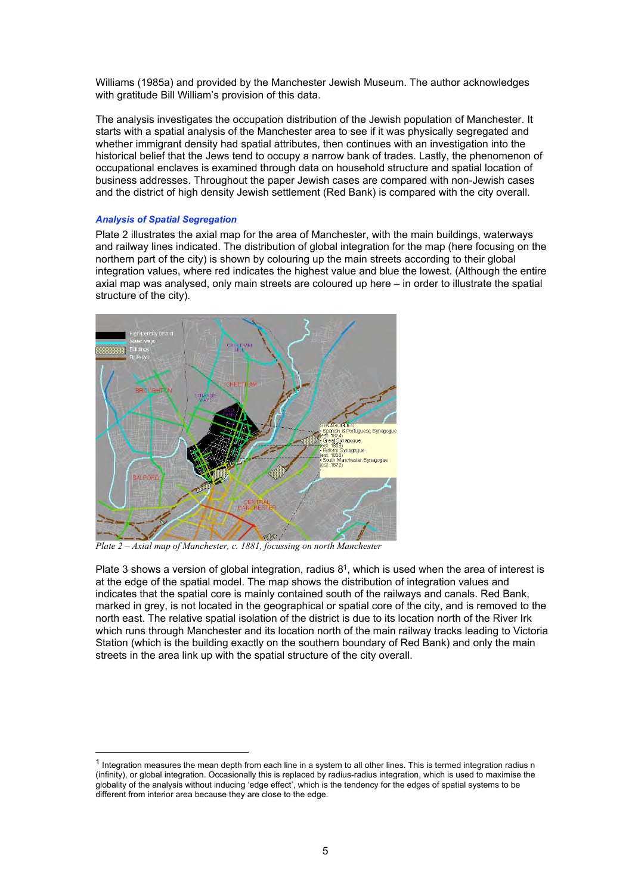Williams (1985a) and provided by the Manchester Jewish Museum. The author acknowledges with gratitude Bill William's provision of this data.

The analysis investigates the occupation distribution of the Jewish population of Manchester. It starts with a spatial analysis of the Manchester area to see if it was physically segregated and whether immigrant density had spatial attributes, then continues with an investigation into the historical belief that the Jews tend to occupy a narrow bank of trades. Lastly, the phenomenon of occupational enclaves is examined through data on household structure and spatial location of business addresses. Throughout the paper Jewish cases are compared with non-Jewish cases and the district of high density Jewish settlement (Red Bank) is compared with the city overall.

# *Analysis of Spatial Segregation*

Plate 2 illustrates the axial map for the area of Manchester, with the main buildings, waterways and railway lines indicated. The distribution of global integration for the map (here focusing on the northern part of the city) is shown by colouring up the main streets according to their global integration values, where red indicates the highest value and blue the lowest. (Although the entire axial map was analysed, only main streets are coloured up here – in order to illustrate the spatial structure of the city).



*Plate 2 – Axial map of Manchester, c. 1881, focussing on north Manchester*

Plate 3 shows a version of global integration, radius  $8<sup>1</sup>$ , which is used when the area of interest is at the edge of the spatial model. The map shows the distribution of integration values and indicates that the spatial core is mainly contained south of the railways and canals. Red Bank, marked in grey, is not located in the geographical or spatial core of the city, and is removed to the north east. The relative spatial isolation of the district is due to its location north of the River Irk which runs through Manchester and its location north of the main railway tracks leading to Victoria Station (which is the building exactly on the southern boundary of Red Bank) and only the main streets in the area link up with the spatial structure of the city overall.

 $1$  Integration measures the mean depth from each line in a system to all other lines. This is termed integration radius n (infinity), or global integration. Occasionally this is replaced by radius-radius integration, which is used to maximise the globality of the analysis without inducing 'edge effect', which is the tendency for the edges of spatial systems to be different from interior area because they are close to the edge.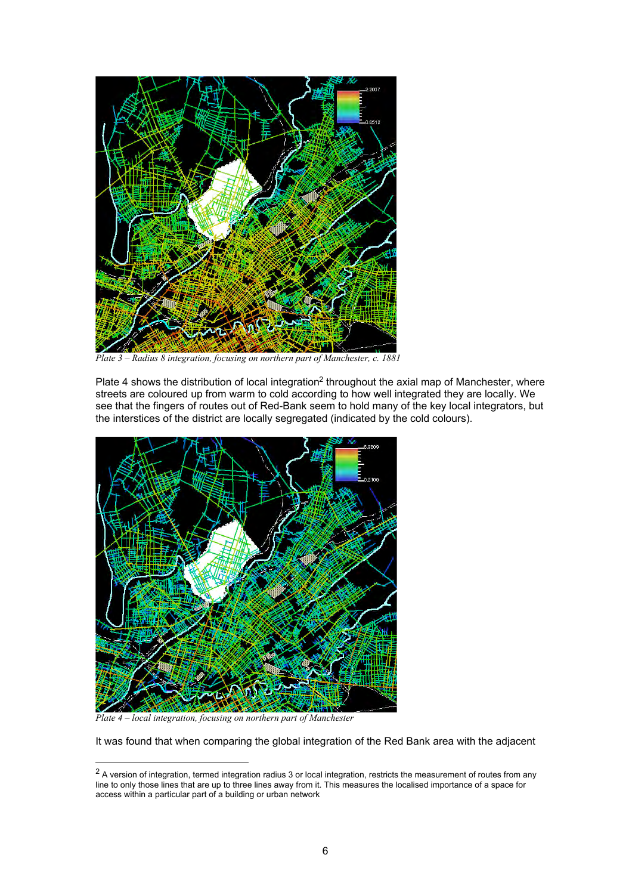

*Plate 3 – Radius 8 integration, focusing on northern part of Manchester, c. 1881*

Plate 4 shows the distribution of local integration<sup>2</sup> throughout the axial map of Manchester, where streets are coloured up from warm to cold according to how well integrated they are locally. We see that the fingers of routes out of Red-Bank seem to hold many of the key local integrators, but the interstices of the district are locally segregated (indicated by the cold colours).



*Plate 4 – local integration, focusing on northern part of Manchester*

It was found that when comparing the global integration of the Red Bank area with the adjacent

<sup>&</sup>lt;sup>2</sup> A version of integration, termed integration radius 3 or local integration, restricts the measurement of routes from any line to only those lines that are up to three lines away from it. This measures the localised importance of a space for access within a particular part of a building or urban network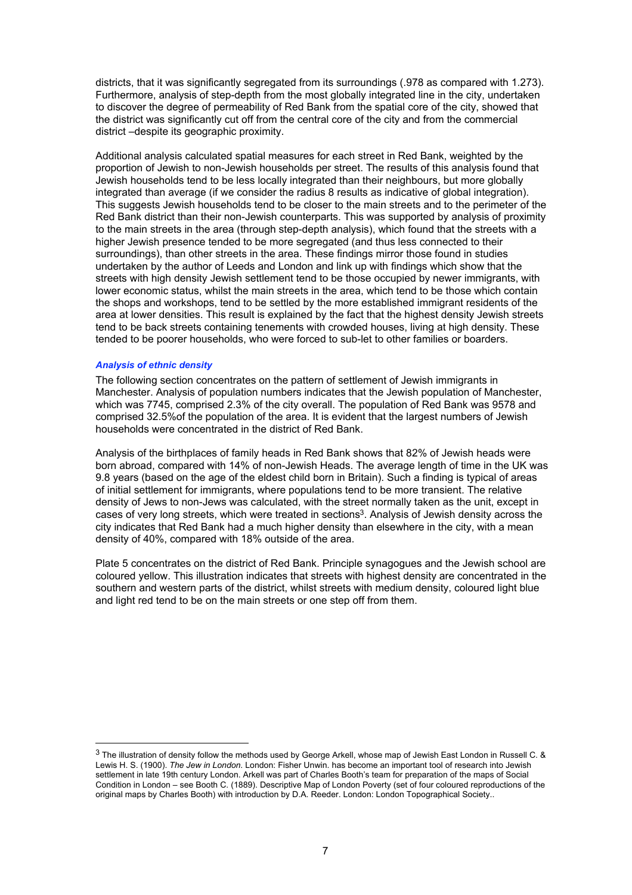districts, that it was significantly segregated from its surroundings (.978 as compared with 1.273). Furthermore, analysis of step-depth from the most globally integrated line in the city, undertaken to discover the degree of permeability of Red Bank from the spatial core of the city, showed that the district was significantly cut off from the central core of the city and from the commercial district –despite its geographic proximity.

Additional analysis calculated spatial measures for each street in Red Bank, weighted by the proportion of Jewish to non-Jewish households per street. The results of this analysis found that Jewish households tend to be less locally integrated than their neighbours, but more globally integrated than average (if we consider the radius 8 results as indicative of global integration). This suggests Jewish households tend to be closer to the main streets and to the perimeter of the Red Bank district than their non-Jewish counterparts. This was supported by analysis of proximity to the main streets in the area (through step-depth analysis), which found that the streets with a higher Jewish presence tended to be more segregated (and thus less connected to their surroundings), than other streets in the area. These findings mirror those found in studies undertaken by the author of Leeds and London and link up with findings which show that the streets with high density Jewish settlement tend to be those occupied by newer immigrants, with lower economic status, whilst the main streets in the area, which tend to be those which contain the shops and workshops, tend to be settled by the more established immigrant residents of the area at lower densities. This result is explained by the fact that the highest density Jewish streets tend to be back streets containing tenements with crowded houses, living at high density. These tended to be poorer households, who were forced to sub-let to other families or boarders.

#### *Analysis of ethnic density*

The following section concentrates on the pattern of settlement of Jewish immigrants in Manchester. Analysis of population numbers indicates that the Jewish population of Manchester, which was 7745, comprised 2.3% of the city overall. The population of Red Bank was 9578 and comprised 32.5%of the population of the area. It is evident that the largest numbers of Jewish households were concentrated in the district of Red Bank.

Analysis of the birthplaces of family heads in Red Bank shows that 82% of Jewish heads were born abroad, compared with 14% of non-Jewish Heads. The average length of time in the UK was 9.8 years (based on the age of the eldest child born in Britain). Such a finding is typical of areas of initial settlement for immigrants, where populations tend to be more transient. The relative density of Jews to non-Jews was calculated, with the street normally taken as the unit, except in cases of very long streets, which were treated in sections<sup>3</sup>. Analysis of Jewish density across the city indicates that Red Bank had a much higher density than elsewhere in the city, with a mean density of 40%, compared with 18% outside of the area.

Plate 5 concentrates on the district of Red Bank. Principle synagogues and the Jewish school are coloured yellow. This illustration indicates that streets with highest density are concentrated in the southern and western parts of the district, whilst streets with medium density, coloured light blue and light red tend to be on the main streets or one step off from them.

 $3$  The illustration of density follow the methods used by George Arkell, whose map of Jewish East London in Russell C. & Lewis H. S. (1900). *The Jew in London*. London: Fisher Unwin. has become an important tool of research into Jewish settlement in late 19th century London. Arkell was part of Charles Booth's team for preparation of the maps of Social Condition in London – see Booth C. (1889). Descriptive Map of London Poverty (set of four coloured reproductions of the original maps by Charles Booth) with introduction by D.A. Reeder. London: London Topographical Society..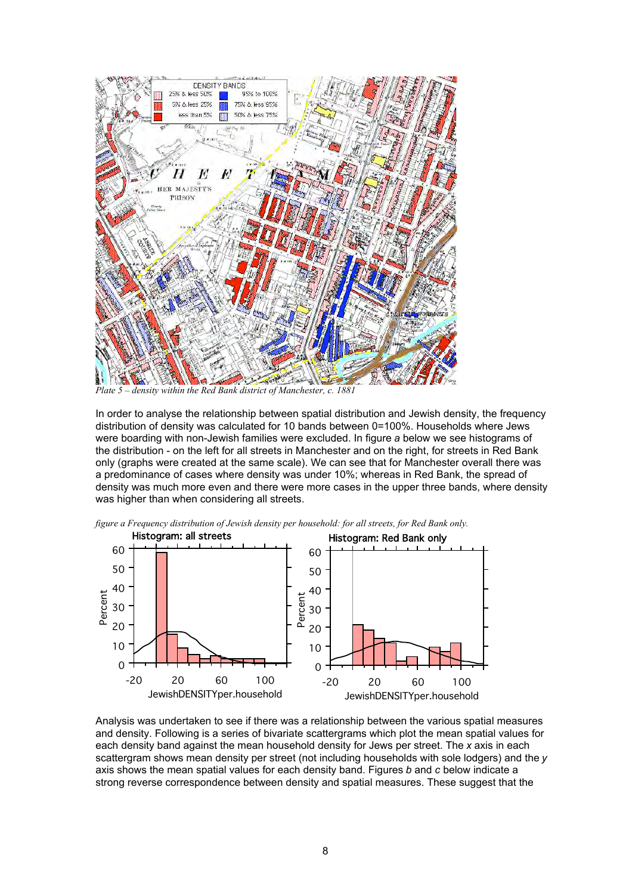

*Plate 5 – density within the Red Bank district of Manchester, c. 1881*

In order to analyse the relationship between spatial distribution and Jewish density, the frequency distribution of density was calculated for 10 bands between 0=100%. Households where Jews were boarding with non-Jewish families were excluded. In figure *a* below we see histograms of the distribution - on the left for all streets in Manchester and on the right, for streets in Red Bank only (graphs were created at the same scale). We can see that for Manchester overall there was a predominance of cases where density was under 10%; whereas in Red Bank, the spread of density was much more even and there were more cases in the upper three bands, where density was higher than when considering all streets.



*figure a Frequency distribution of Jewish density per household: for all streets, for Red Bank only.*

Analysis was undertaken to see if there was a relationship between the various spatial measures and density. Following is a series of bivariate scattergrams which plot the mean spatial values for each density band against the mean household density for Jews per street. The *x* axis in each scattergram shows mean density per street (not including households with sole lodgers) and the *y* axis shows the mean spatial values for each density band. Figures *b* and *c* below indicate a strong reverse correspondence between density and spatial measures. These suggest that the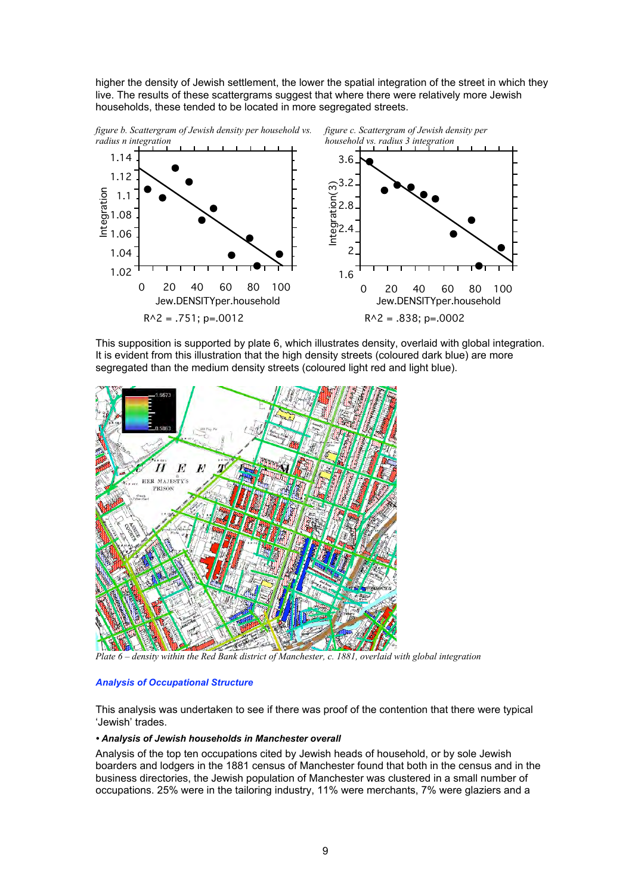higher the density of Jewish settlement, the lower the spatial integration of the street in which they live. The results of these scattergrams suggest that where there were relatively more Jewish households, these tended to be located in more segregated streets.



This supposition is supported by plate 6, which illustrates density, overlaid with global integration. It is evident from this illustration that the high density streets (coloured dark blue) are more segregated than the medium density streets (coloured light red and light blue).



*Plate 6 – density within the Red Bank district of Manchester, c. 1881, overlaid with global integration*

# *Analysis of Occupational Structure*

This analysis was undertaken to see if there was proof of the contention that there were typical 'Jewish' trades.

## *• Analysis of Jewish households in Manchester overall*

Analysis of the top ten occupations cited by Jewish heads of household, or by sole Jewish boarders and lodgers in the 1881 census of Manchester found that both in the census and in the business directories, the Jewish population of Manchester was clustered in a small number of occupations. 25% were in the tailoring industry, 11% were merchants, 7% were glaziers and a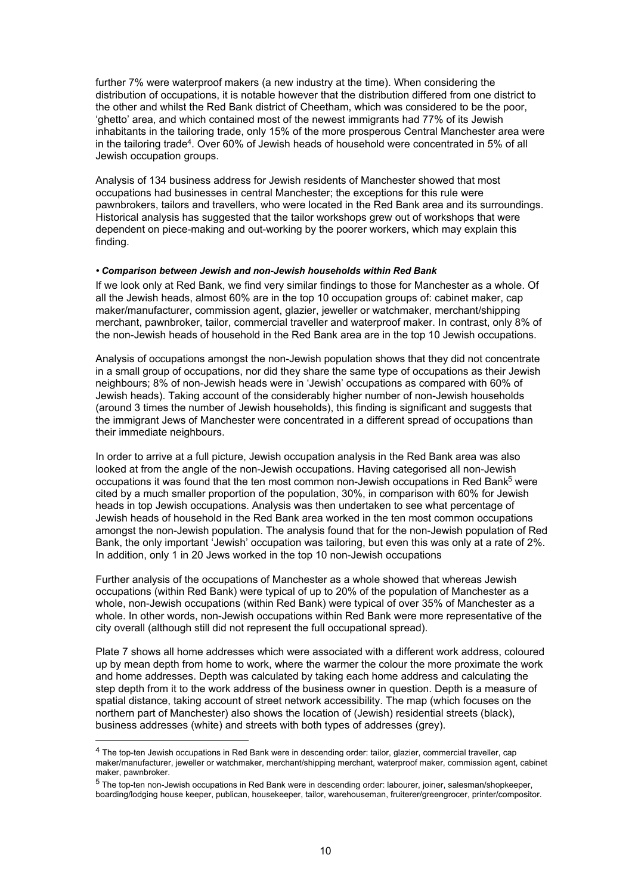further 7% were waterproof makers (a new industry at the time). When considering the distribution of occupations, it is notable however that the distribution differed from one district to the other and whilst the Red Bank district of Cheetham, which was considered to be the poor, 'ghetto' area, and which contained most of the newest immigrants had 77% of its Jewish inhabitants in the tailoring trade, only 15% of the more prosperous Central Manchester area were in the tailoring trade4. Over 60% of Jewish heads of household were concentrated in 5% of all Jewish occupation groups.

Analysis of 134 business address for Jewish residents of Manchester showed that most occupations had businesses in central Manchester; the exceptions for this rule were pawnbrokers, tailors and travellers, who were located in the Red Bank area and its surroundings. Historical analysis has suggested that the tailor workshops grew out of workshops that were dependent on piece-making and out-working by the poorer workers, which may explain this finding.

#### *• Comparison between Jewish and non-Jewish households within Red Bank*

If we look only at Red Bank, we find very similar findings to those for Manchester as a whole. Of all the Jewish heads, almost 60% are in the top 10 occupation groups of: cabinet maker, cap maker/manufacturer, commission agent, glazier, jeweller or watchmaker, merchant/shipping merchant, pawnbroker, tailor, commercial traveller and waterproof maker. In contrast, only 8% of the non-Jewish heads of household in the Red Bank area are in the top 10 Jewish occupations.

Analysis of occupations amongst the non-Jewish population shows that they did not concentrate in a small group of occupations, nor did they share the same type of occupations as their Jewish neighbours; 8% of non-Jewish heads were in 'Jewish' occupations as compared with 60% of Jewish heads). Taking account of the considerably higher number of non-Jewish households (around 3 times the number of Jewish households), this finding is significant and suggests that the immigrant Jews of Manchester were concentrated in a different spread of occupations than their immediate neighbours.

In order to arrive at a full picture, Jewish occupation analysis in the Red Bank area was also looked at from the angle of the non-Jewish occupations. Having categorised all non-Jewish occupations it was found that the ten most common non-Jewish occupations in Red Bank<sup>5</sup> were cited by a much smaller proportion of the population, 30%, in comparison with 60% for Jewish heads in top Jewish occupations. Analysis was then undertaken to see what percentage of Jewish heads of household in the Red Bank area worked in the ten most common occupations amongst the non-Jewish population. The analysis found that for the non-Jewish population of Red Bank, the only important 'Jewish' occupation was tailoring, but even this was only at a rate of 2%. In addition, only 1 in 20 Jews worked in the top 10 non-Jewish occupations

Further analysis of the occupations of Manchester as a whole showed that whereas Jewish occupations (within Red Bank) were typical of up to 20% of the population of Manchester as a whole, non-Jewish occupations (within Red Bank) were typical of over 35% of Manchester as a whole. In other words, non-Jewish occupations within Red Bank were more representative of the city overall (although still did not represent the full occupational spread).

Plate 7 shows all home addresses which were associated with a different work address, coloured up by mean depth from home to work, where the warmer the colour the more proximate the work and home addresses. Depth was calculated by taking each home address and calculating the step depth from it to the work address of the business owner in question. Depth is a measure of spatial distance, taking account of street network accessibility. The map (which focuses on the northern part of Manchester) also shows the location of (Jewish) residential streets (black), business addresses (white) and streets with both types of addresses (grey).

l

<sup>4</sup> The top-ten Jewish occupations in Red Bank were in descending order: tailor, glazier, commercial traveller, cap maker/manufacturer, jeweller or watchmaker, merchant/shipping merchant, waterproof maker, commission agent, cabinet maker, pawnbroker.

<sup>5</sup> The top-ten non-Jewish occupations in Red Bank were in descending order: labourer, joiner, salesman/shopkeeper, boarding/lodging house keeper, publican, housekeeper, tailor, warehouseman, fruiterer/greengrocer, printer/compositor.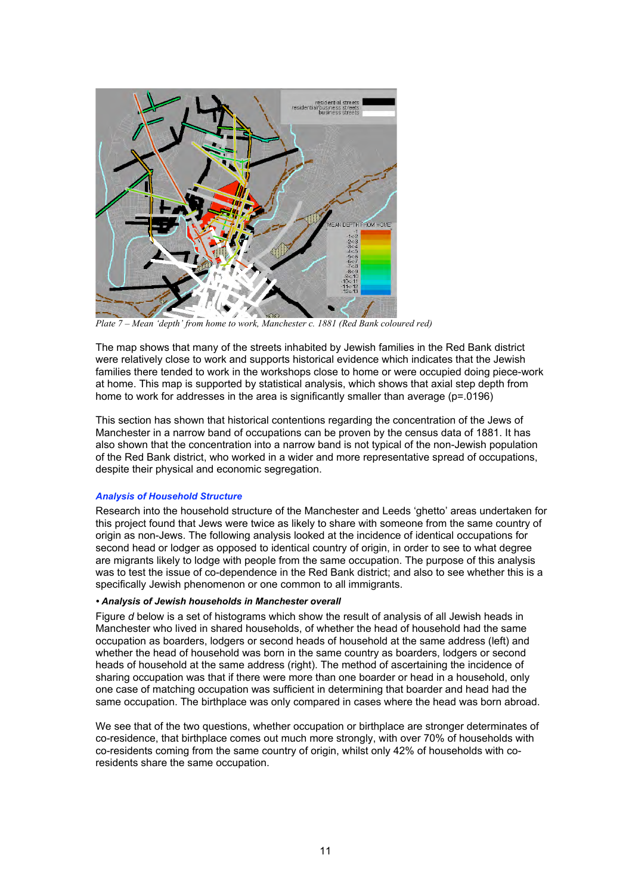

*Plate 7 – Mean 'depth' from home to work, Manchester c. 1881 (Red Bank coloured red)*

The map shows that many of the streets inhabited by Jewish families in the Red Bank district were relatively close to work and supports historical evidence which indicates that the Jewish families there tended to work in the workshops close to home or were occupied doing piece-work at home. This map is supported by statistical analysis, which shows that axial step depth from home to work for addresses in the area is significantly smaller than average (p=.0196)

This section has shown that historical contentions regarding the concentration of the Jews of Manchester in a narrow band of occupations can be proven by the census data of 1881. It has also shown that the concentration into a narrow band is not typical of the non-Jewish population of the Red Bank district, who worked in a wider and more representative spread of occupations, despite their physical and economic segregation.

# *Analysis of Household Structure*

Research into the household structure of the Manchester and Leeds 'ghetto' areas undertaken for this project found that Jews were twice as likely to share with someone from the same country of origin as non-Jews. The following analysis looked at the incidence of identical occupations for second head or lodger as opposed to identical country of origin, in order to see to what degree are migrants likely to lodge with people from the same occupation. The purpose of this analysis was to test the issue of co-dependence in the Red Bank district; and also to see whether this is a specifically Jewish phenomenon or one common to all immigrants.

# *• Analysis of Jewish households in Manchester overall*

Figure *d* below is a set of histograms which show the result of analysis of all Jewish heads in Manchester who lived in shared households, of whether the head of household had the same occupation as boarders, lodgers or second heads of household at the same address (left) and whether the head of household was born in the same country as boarders, lodgers or second heads of household at the same address (right). The method of ascertaining the incidence of sharing occupation was that if there were more than one boarder or head in a household, only one case of matching occupation was sufficient in determining that boarder and head had the same occupation. The birthplace was only compared in cases where the head was born abroad.

We see that of the two questions, whether occupation or birthplace are stronger determinates of co-residence, that birthplace comes out much more strongly, with over 70% of households with co-residents coming from the same country of origin, whilst only 42% of households with coresidents share the same occupation.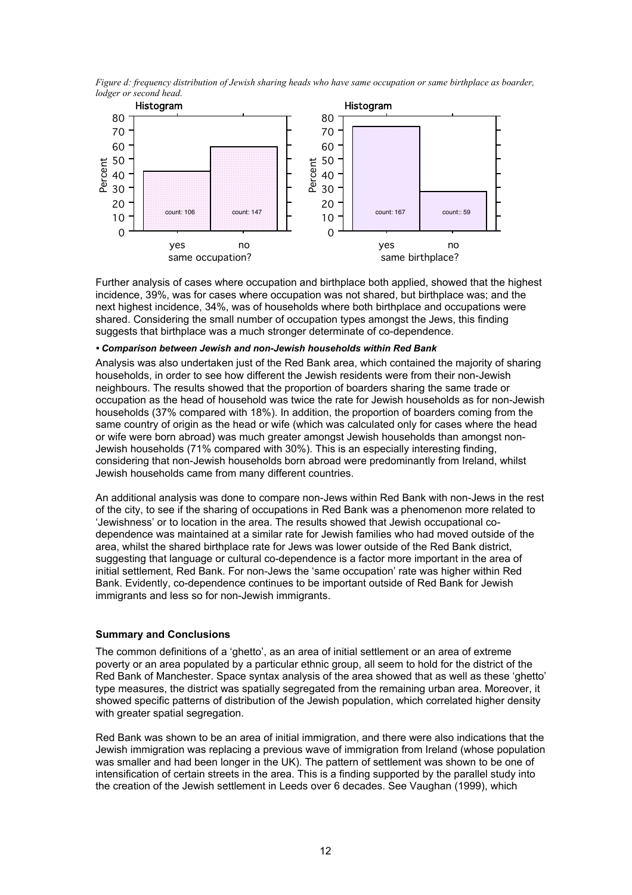*Figure d: frequency distribution of Jewish sharing heads who have same occupation or same birthplace as boarder, lodger or second head.*



Further analysis of cases where occupation and birthplace both applied, showed that the highest incidence, 39%, was for cases where occupation was not shared, but birthplace was; and the next highest incidence, 34%, was of households where both birthplace and occupations were shared. Considering the small number of occupation types amongst the Jews, this finding suggests that birthplace was a much stronger determinate of co-dependence.

#### *• Comparison between Jewish and non-Jewish households within Red Bank*

Analysis was also undertaken just of the Red Bank area, which contained the majority of sharing households, in order to see how different the Jewish residents were from their non-Jewish neighbours. The results showed that the proportion of boarders sharing the same trade or occupation as the head of household was twice the rate for Jewish households as for non-Jewish households (37% compared with 18%). In addition, the proportion of boarders coming from the same country of origin as the head or wife (which was calculated only for cases where the head or wife were born abroad) was much greater amongst Jewish households than amongst non-Jewish households (71% compared with 30%). This is an especially interesting finding, considering that non-Jewish households born abroad were predominantly from Ireland, whilst Jewish households came from many different countries.

An additional analysis was done to compare non-Jews within Red Bank with non-Jews in the rest of the city, to see if the sharing of occupations in Red Bank was a phenomenon more related to 'Jewishness' or to location in the area. The results showed that Jewish occupational codependence was maintained at a similar rate for Jewish families who had moved outside of the area, whilst the shared birthplace rate for Jews was lower outside of the Red Bank district, suggesting that language or cultural co-dependence is a factor more important in the area of initial settlement, Red Bank. For non-Jews the 'same occupation' rate was higher within Red Bank. Evidently, co-dependence continues to be important outside of Red Bank for Jewish immigrants and less so for non-Jewish immigrants.

## **Summary and Conclusions**

The common definitions of a 'ghetto', as an area of initial settlement or an area of extreme poverty or an area populated by a particular ethnic group, all seem to hold for the district of the Red Bank of Manchester. Space syntax analysis of the area showed that as well as these 'ghetto' type measures, the district was spatially segregated from the remaining urban area. Moreover, it showed specific patterns of distribution of the Jewish population, which correlated higher density with greater spatial segregation.

Red Bank was shown to be an area of initial immigration, and there were also indications that the Jewish immigration was replacing a previous wave of immigration from Ireland (whose population was smaller and had been longer in the UK). The pattern of settlement was shown to be one of intensification of certain streets in the area. This is a finding supported by the parallel study into the creation of the Jewish settlement in Leeds over 6 decades. See Vaughan (1999), which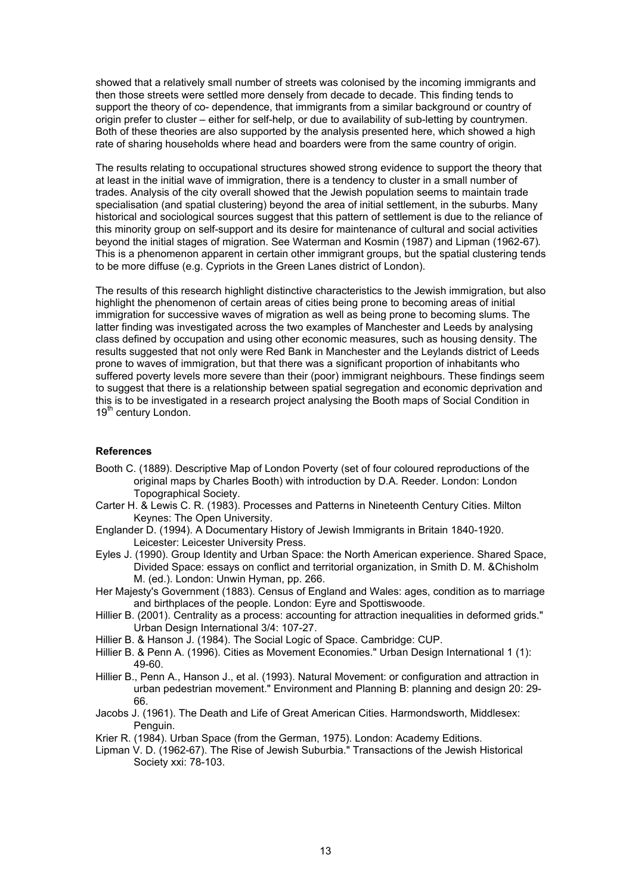showed that a relatively small number of streets was colonised by the incoming immigrants and then those streets were settled more densely from decade to decade. This finding tends to support the theory of co- dependence, that immigrants from a similar background or country of origin prefer to cluster – either for self-help, or due to availability of sub-letting by countrymen. Both of these theories are also supported by the analysis presented here, which showed a high rate of sharing households where head and boarders were from the same country of origin.

The results relating to occupational structures showed strong evidence to support the theory that at least in the initial wave of immigration, there is a tendency to cluster in a small number of trades. Analysis of the city overall showed that the Jewish population seems to maintain trade specialisation (and spatial clustering) beyond the area of initial settlement, in the suburbs. Many historical and sociological sources suggest that this pattern of settlement is due to the reliance of this minority group on self-support and its desire for maintenance of cultural and social activities beyond the initial stages of migration. See Waterman and Kosmin (1987) and Lipman (1962-67). This is a phenomenon apparent in certain other immigrant groups, but the spatial clustering tends to be more diffuse (e.g. Cypriots in the Green Lanes district of London).

The results of this research highlight distinctive characteristics to the Jewish immigration, but also highlight the phenomenon of certain areas of cities being prone to becoming areas of initial immigration for successive waves of migration as well as being prone to becoming slums. The latter finding was investigated across the two examples of Manchester and Leeds by analysing class defined by occupation and using other economic measures, such as housing density. The results suggested that not only were Red Bank in Manchester and the Leylands district of Leeds prone to waves of immigration, but that there was a significant proportion of inhabitants who suffered poverty levels more severe than their (poor) immigrant neighbours. These findings seem to suggest that there is a relationship between spatial segregation and economic deprivation and this is to be investigated in a research project analysing the Booth maps of Social Condition in 19<sup>th</sup> century London.

## **References**

- Booth C. (1889). Descriptive Map of London Poverty (set of four coloured reproductions of the original maps by Charles Booth) with introduction by D.A. Reeder. London: London Topographical Society.
- Carter H. & Lewis C. R. (1983). Processes and Patterns in Nineteenth Century Cities. Milton Keynes: The Open University.
- Englander D. (1994). A Documentary History of Jewish Immigrants in Britain 1840-1920. Leicester: Leicester University Press.
- Eyles J. (1990). Group Identity and Urban Space: the North American experience. Shared Space, Divided Space: essays on conflict and territorial organization, in Smith D. M. &Chisholm M. (ed.). London: Unwin Hyman, pp. 266.
- Her Majesty's Government (1883). Census of England and Wales: ages, condition as to marriage and birthplaces of the people. London: Eyre and Spottiswoode.
- Hillier B. (2001). Centrality as a process: accounting for attraction inequalities in deformed grids." Urban Design International 3/4: 107-27.
- Hillier B. & Hanson J. (1984). The Social Logic of Space. Cambridge: CUP.
- Hillier B. & Penn A. (1996). Cities as Movement Economies." Urban Design International 1 (1): 49-60.
- Hillier B., Penn A., Hanson J., et al. (1993). Natural Movement: or configuration and attraction in urban pedestrian movement." Environment and Planning B: planning and design 20: 29- 66.
- Jacobs J. (1961). The Death and Life of Great American Cities. Harmondsworth, Middlesex: Penguin.
- Krier R. (1984). Urban Space (from the German, 1975). London: Academy Editions.
- Lipman V. D. (1962-67). The Rise of Jewish Suburbia." Transactions of the Jewish Historical Society xxi: 78-103.